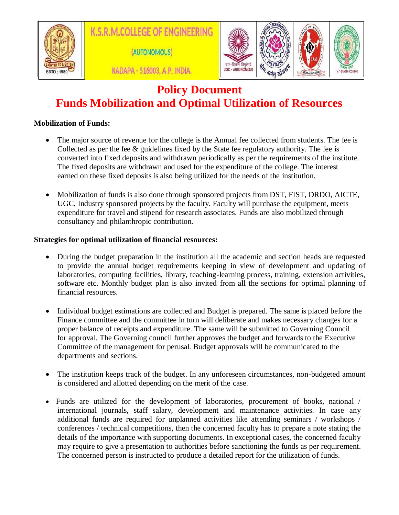

**K.S.R.M.COLLEGE OF ENGINEERING** 

(AUTONOMOUS)



## KADAPA - 516003, A.P. INDIA.

## **Policy Document Funds Mobilization and Optimal Utilization of Resources**

## **Mobilization of Funds:**

- The major source of revenue for the college is the Annual fee collected from students. The fee is Collected as per the fee  $\&$  guidelines fixed by the State fee regulatory authority. The fee is converted into fixed deposits and withdrawn periodically as per the requirements of the institute. The fixed deposits are withdrawn and used for the expenditure of the college. The interest earned on these fixed deposits is also being utilized for the needs of the institution.
- Mobilization of funds is also done through sponsored projects from DST, FIST, DRDO, AICTE, UGC, Industry sponsored projects by the faculty. Faculty will purchase the equipment, meets expenditure for travel and stipend for research associates. Funds are also mobilized through consultancy and philanthropic contribution.

## **Strategies for optimal utilization of financial resources:**

- During the budget preparation in the institution all the academic and section heads are requested to provide the annual budget requirements keeping in view of development and updating of laboratories, computing facilities, library, teaching-learning process, training, extension activities, software etc. Monthly budget plan is also invited from all the sections for optimal planning of financial resources.
- Individual budget estimations are collected and Budget is prepared. The same is placed before the Finance committee and the committee in turn will deliberate and makes necessary changes for a proper balance of receipts and expenditure. The same will be submitted to Governing Council for approval. The Governing council further approves the budget and forwards to the Executive Committee of the management for perusal. Budget approvals will be communicated to the departments and sections.
- The institution keeps track of the budget. In any unforeseen circumstances, non-budgeted amount is considered and allotted depending on the merit of the case.
- Funds are utilized for the development of laboratories, procurement of books, national / international journals, staff salary, development and maintenance activities. In case any additional funds are required for unplanned activities like attending seminars / workshops / conferences / technical competitions, then the concerned faculty has to prepare a note stating the details of the importance with supporting documents. In exceptional cases, the concerned faculty may require to give a presentation to authorities before sanctioning the funds as per requirement. The concerned person is instructed to produce a detailed report for the utilization of funds.